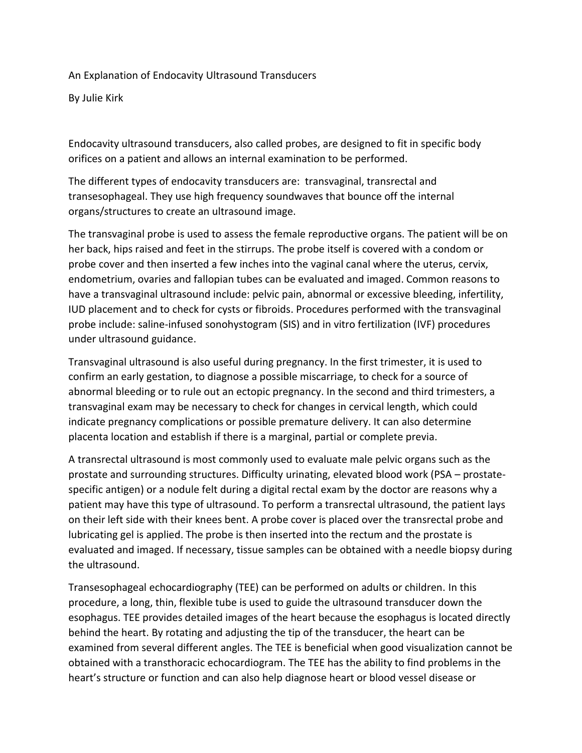An Explanation of Endocavity Ultrasound Transducers

By Julie Kirk

Endocavity ultrasound transducers, also called probes, are designed to fit in specific body orifices on a patient and allows an internal examination to be performed.

The different types of endocavity transducers are: transvaginal, transrectal and transesophageal. They use high frequency soundwaves that bounce off the internal organs/structures to create an ultrasound image.

The transvaginal probe is used to assess the female reproductive organs. The patient will be on her back, hips raised and feet in the stirrups. The probe itself is covered with a condom or probe cover and then inserted a few inches into the vaginal canal where the uterus, cervix, endometrium, ovaries and fallopian tubes can be evaluated and imaged. Common reasons to have a transvaginal ultrasound include: pelvic pain, abnormal or excessive bleeding, infertility, IUD placement and to check for cysts or fibroids. Procedures performed with the transvaginal probe include: saline-infused sonohystogram (SIS) and in vitro fertilization (IVF) procedures under ultrasound guidance.

Transvaginal ultrasound is also useful during pregnancy. In the first trimester, it is used to confirm an early gestation, to diagnose a possible miscarriage, to check for a source of abnormal bleeding or to rule out an ectopic pregnancy. In the second and third trimesters, a transvaginal exam may be necessary to check for changes in cervical length, which could indicate pregnancy complications or possible premature delivery. It can also determine placenta location and establish if there is a marginal, partial or complete previa.

A transrectal ultrasound is most commonly used to evaluate male pelvic organs such as the prostate and surrounding structures. Difficulty urinating, elevated blood work (PSA – prostatespecific antigen) or a nodule felt during a digital rectal exam by the doctor are reasons why a patient may have this type of ultrasound. To perform a transrectal ultrasound, the patient lays on their left side with their knees bent. A probe cover is placed over the transrectal probe and lubricating gel is applied. The probe is then inserted into the rectum and the prostate is evaluated and imaged. If necessary, tissue samples can be obtained with a needle biopsy during the ultrasound.

Transesophageal echocardiography (TEE) can be performed on adults or children. In this procedure, a long, thin, flexible tube is used to guide the ultrasound transducer down the esophagus. TEE provides detailed images of the heart because the esophagus is located directly behind the heart. By rotating and adjusting the tip of the transducer, the heart can be examined from several different angles. The TEE is beneficial when good visualization cannot be obtained with a transthoracic echocardiogram. The TEE has the ability to find problems in the heart's structure or function and can also help diagnose heart or blood vessel disease or